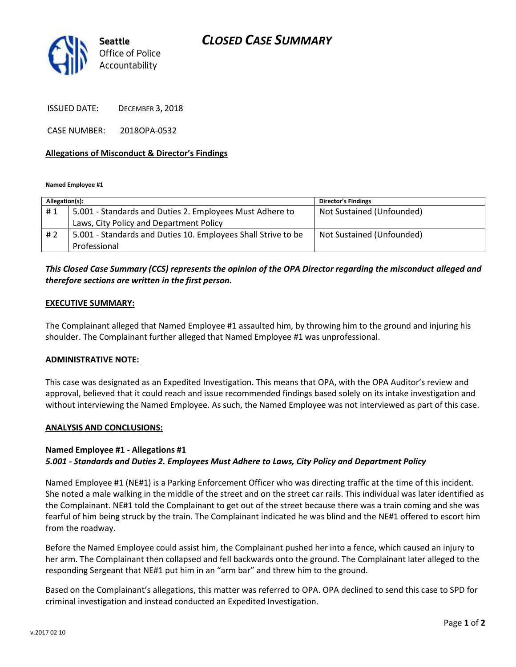# *CLOSED CASE SUMMARY*



ISSUED DATE: DECEMBER 3, 2018

CASE NUMBER: 2018OPA-0532

### **Allegations of Misconduct & Director's Findings**

**Named Employee #1**

| Allegation(s): |                                                               | <b>Director's Findings</b> |
|----------------|---------------------------------------------------------------|----------------------------|
| #1             | 5.001 - Standards and Duties 2. Employees Must Adhere to      | Not Sustained (Unfounded)  |
|                | Laws, City Policy and Department Policy                       |                            |
| #2             | 5.001 - Standards and Duties 10. Employees Shall Strive to be | Not Sustained (Unfounded)  |
|                | Professional                                                  |                            |

## *This Closed Case Summary (CCS) represents the opinion of the OPA Director regarding the misconduct alleged and therefore sections are written in the first person.*

#### **EXECUTIVE SUMMARY:**

The Complainant alleged that Named Employee #1 assaulted him, by throwing him to the ground and injuring his shoulder. The Complainant further alleged that Named Employee #1 was unprofessional.

#### **ADMINISTRATIVE NOTE:**

This case was designated as an Expedited Investigation. This means that OPA, with the OPA Auditor's review and approval, believed that it could reach and issue recommended findings based solely on its intake investigation and without interviewing the Named Employee. As such, the Named Employee was not interviewed as part of this case.

#### **ANALYSIS AND CONCLUSIONS:**

### **Named Employee #1 - Allegations #1**

### *5.001 - Standards and Duties 2. Employees Must Adhere to Laws, City Policy and Department Policy*

Named Employee #1 (NE#1) is a Parking Enforcement Officer who was directing traffic at the time of this incident. She noted a male walking in the middle of the street and on the street car rails. This individual was later identified as the Complainant. NE#1 told the Complainant to get out of the street because there was a train coming and she was fearful of him being struck by the train. The Complainant indicated he was blind and the NE#1 offered to escort him from the roadway.

Before the Named Employee could assist him, the Complainant pushed her into a fence, which caused an injury to her arm. The Complainant then collapsed and fell backwards onto the ground. The Complainant later alleged to the responding Sergeant that NE#1 put him in an "arm bar" and threw him to the ground.

Based on the Complainant's allegations, this matter was referred to OPA. OPA declined to send this case to SPD for criminal investigation and instead conducted an Expedited Investigation.